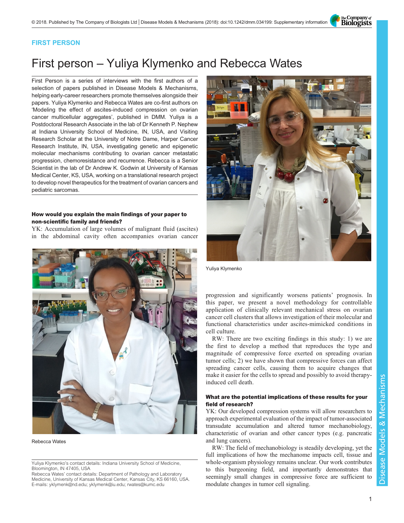The Company of<br>**Biologists** 

## FIRST PERSON

# First person – Yuliya Klymenko and Rebecca Wates

First Person is a series of interviews with the first authors of a selection of papers published in Disease Models & Mechanisms, helping early-career researchers promote themselves alongside their papers. Yuliya Klymenko and Rebecca Wates are co-first authors on '[Modeling the effect of ascites-induced compression on ovarian](#page-2-0) [cancer multicellular aggregates](#page-2-0)', published in DMM. Yuliya is a Postdoctoral Research Associate in the lab of Dr Kenneth P. Nephew at Indiana University School of Medicine, IN, USA, and Visiting Research Scholar at the University of Notre Dame, Harper Cancer Research Institute, IN, USA, investigating genetic and epigenetic molecular mechanisms contributing to ovarian cancer metastatic progression, chemoresistance and recurrence. Rebecca is a Senior Scientist in the lab of Dr Andrew K. Godwin at University of Kansas Medical Center, KS, USA, working on a translational research project to develop novel therapeutics for the treatment of ovarian cancers and pediatric sarcomas.

#### How would you explain the main findings of your paper to non-scientific family and friends?

YK: Accumulation of large volumes of malignant fluid (ascites) in the abdominal cavity often accompanies ovarian cancer



Rebecca Wates

Rebecca Wates' contact details: Department of Pathology and Laboratory Medicine, University of Kansas Medical Center, Kansas City, KS 66160, USA. E-mails: [yklymenk@nd.edu](mailto:yklymenk@nd.edu); [yklymenk@iu.edu;](mailto:yklymenk@iu.edu) [rwates@kumc.edu](mailto:rwates@kumc.edu)



Yuliya Klymenko

progression and significantly worsens patients' prognosis. In this paper, we present a novel methodology for controllable application of clinically relevant mechanical stress on ovarian cancer cell clusters that allows investigation of their molecular and functional characteristics under ascites-mimicked conditions in cell culture.

RW: There are two exciting findings in this study: 1) we are the first to develop a method that reproduces the type and magnitude of compressive force exerted on spreading ovarian tumor cells; 2) we have shown that compressive forces can affect spreading cancer cells, causing them to acquire changes that make it easier for the cells to spread and possibly to avoid therapyinduced cell death.

#### What are the potential implications of these results for your field of research?

YK: Our developed compression systems will allow researchers to approach experimental evaluation of the impact of tumor-associated transudate accumulation and altered tumor mechanobiology, characteristic of ovarian and other cancer types (e.g. pancreatic and lung cancers).

RW: The field of mechanobiology is steadily developing, yet the full implications of how the mechanome impacts cell, tissue and whole-organism physiology remains unclear. Our work contributes to this burgeoning field, and importantly demonstrates that seemingly small changes in compressive force are sufficient to modulate changes in tumor cell signaling.

Yuliya Klymenko's contact details: Indiana University School of Medicine, Bloomington, IN 47405, USA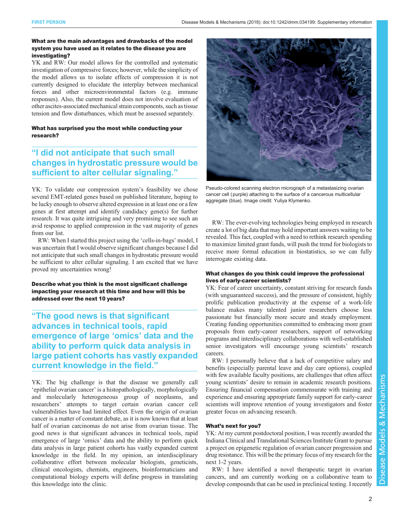#### What are the main advantages and drawbacks of the model system you have used as it relates to the disease you are investigating?

YK and RW: Our model allows for the controlled and systematic investigation of compressive forces; however, while the simplicity of the model allows us to isolate effects of compression it is not currently designed to elucidate the interplay between mechanical forces and other microenvironmental factors (e.g. immune responses). Also, the current model does not involve evaluation of other ascites-associated mechanical strain components, such as tissue tension and flow disturbances, which must be assessed separately.

#### What has surprised you the most while conducting your research?

# "I did not anticipate that such small changes in hydrostatic pressure would be sufficient to alter cellular signaling."

YK: To validate our compression system's feasibility we chose several EMT-related genes based on published literature, hoping to be lucky enough to observe altered expression in at least one or a few genes at first attempt and identify candidacy gene(s) for further research. It was quite intriguing and very promising to see such an avid response to applied compression in the vast majority of genes from our list.

RW: When I started this project using the 'cells-in-bags' model, I was uncertain that I would observe significant changes because I did not anticipate that such small changes in hydrostatic pressure would be sufficient to alter cellular signaling. I am excited that we have proved my uncertainties wrong!

Describe what you think is the most significant challenge impacting your research at this time and how will this be addressed over the next 10 years?

"The good news is that significant advances in technical tools, rapid emergence of large 'omics' data and the ability to perform quick data analysis in large patient cohorts has vastly expanded current knowledge in the field."

YK: The big challenge is that the disease we generally call 'epithelial ovarian cancer' is a histopathologically, morphologically and molecularly heterogeneous group of neoplasms, and researchers' attempts to target certain ovarian cancer cell vulnerabilities have had limited effect. Even the origin of ovarian cancer is a matter of constant debate, as it is now known that at least half of ovarian carcinomas do not arise from ovarian tissue. The good news is that significant advances in technical tools, rapid emergence of large 'omics' data and the ability to perform quick data analysis in large patient cohorts has vastly expanded current knowledge in the field. In my opinion, an interdisciplinary collaborative effort between molecular biologists, geneticists, clinical oncologists, chemists, engineers, bioinformaticians and computational biology experts will define progress in translating this knowledge into the clinic.



Pseudo-colored scanning electron micrograph of a metastasizing ovarian cancer cell (purple) attaching to the surface of a cancerous multicellular aggregate (blue). Image credit: Yuliya Klymenko.

RW: The ever-evolving technologies being employed in research create a lot of big data that may hold important answers waiting to be revealed. This fact, coupled with a need to rethink research spending to maximize limited grant funds, will push the trend for biologists to receive more formal education in biostatistics, so we can fully interrogate existing data.

#### What changes do you think could improve the professional lives of early-career scientists?

YK: Fear of career uncertainty, constant striving for research funds (with unguaranteed success), and the pressure of consistent, highly prolific publication productivity at the expense of a work-life balance makes many talented junior researchers choose less passionate but financially more secure and steady employment. Creating funding opportunities committed to embracing more grant proposals from early-career researchers, support of networking programs and interdisciplinary collaborations with well-established senior investigators will encourage young scientists' research careers.

RW: I personally believe that a lack of competitive salary and benefits (especially parental leave and day care options), coupled with few available faculty positions, are challenges that often affect young scientists' desire to remain in academic research positions. Ensuring financial compensation commensurate with training and experience and ensuring appropriate family support for early-career scientists will improve retention of young investigators and foster greater focus on advancing research.

## What's next for you?

YK: At my current postdoctoral position, I was recently awarded the Indiana Clinical and Translational Sciences Institute Grant to pursue a project on epigenetic regulation of ovarian cancer progression and drug resistance. This will be the primary focus of my research for the next 1-2 years.

RW: I have identified a novel therapeutic target in ovarian cancers, and am currently working on a collaborative team to develop compounds that can be used in preclinical testing. I recently